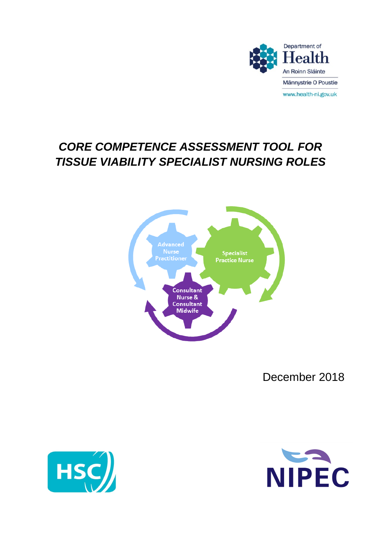

# *CORE COMPETENCE ASSESSMENT TOOL FOR TISSUE VIABILITY SPECIALIST NURSING ROLES*



December 2018



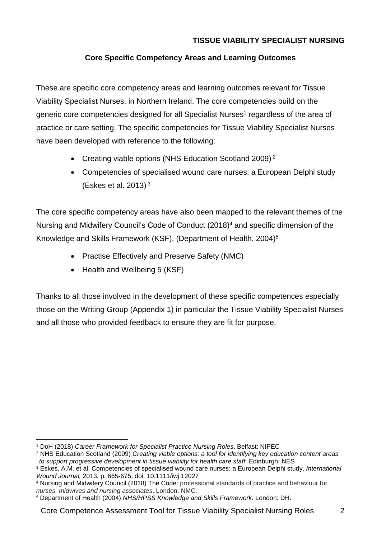#### **TISSUE VIABILITY SPECIALIST NURSING**

#### **Core Specific Competency Areas and Learning Outcomes**

These are specific core competency areas and learning outcomes relevant for Tissue Viability Specialist Nurses, in Northern Ireland. The core competencies build on the generic core competencies designed for all Specialist Nurses<sup>1</sup> regardless of the area of practice or care setting. The specific competencies for Tissue Viability Specialist Nurses have been developed with reference to the following:

- Creating viable options (NHS Education Scotland 2009)<sup>2</sup>
- Competencies of specialised wound care nurses: a European Delphi study (Eskes et al. 2013) <sup>3</sup>

The core specific competency areas have also been mapped to the relevant themes of the Nursing and Midwifery Council's Code of Conduct (2018)<sup>4</sup> and specific dimension of the Knowledge and Skills Framework (KSF), (Department of Health, 2004)<sup>5</sup>

- Practise Effectively and Preserve Safety (NMC)
- Health and Wellbeing 5 (KSF)

Thanks to all those involved in the development of these specific competences especially those on the Writing Group (Appendix 1) in particular the Tissue Viability Specialist Nurses and all those who provided feedback to ensure they are fit for purpose.

<sup>1</sup> DoH (2018) *Career Framework for Specialist Practice Nursing Roles*. Belfast: NIPEC

<sup>2</sup> NHS Education Scotland (2009) *Creating viable options: a tool for identifying key education content areas to support progressive development in tissue viability for health care staff.* Edinburgh: NES

<sup>3</sup> Eskes, A.M. et al. Competencies of specialised wound care nurses: a European Delphi study, *International Wound Journal,* 2013, p. 665-675, doi: 10.1111/iwj.12027

<sup>4</sup> Nursing and Midwifery Council (2018) The Code: professional standards of practice and behaviour for *nurses, midwives and nursing associates*. London: NMC.

<sup>5</sup> Department of Health (2004) *NHS/HPSS Knowledge and Skills Framework.* London: DH.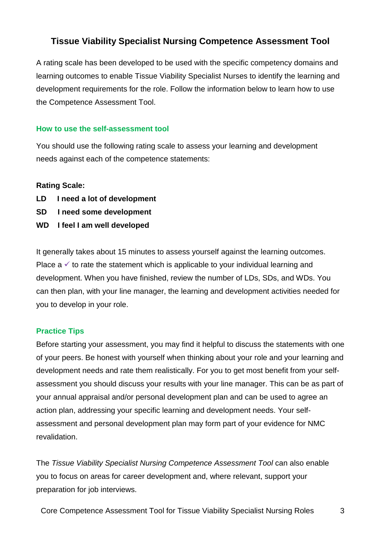### **Tissue Viability Specialist Nursing Competence Assessment Tool**

A rating scale has been developed to be used with the specific competency domains and learning outcomes to enable Tissue Viability Specialist Nurses to identify the learning and development requirements for the role. Follow the information below to learn how to use the Competence Assessment Tool.

#### **How to use the self-assessment tool**

You should use the following rating scale to assess your learning and development needs against each of the competence statements:

#### **Rating Scale:**

- **LD I need a lot of development**
- **SD I need some development**
- **WD I feel I am well developed**

It generally takes about 15 minutes to assess yourself against the learning outcomes. Place  $a \vee b$  rate the statement which is applicable to your individual learning and development. When you have finished, review the number of LDs, SDs, and WDs. You can then plan, with your line manager, the learning and development activities needed for you to develop in your role.

#### **Practice Tips**

Before starting your assessment, you may find it helpful to discuss the statements with one of your peers. Be honest with yourself when thinking about your role and your learning and development needs and rate them realistically. For you to get most benefit from your selfassessment you should discuss your results with your line manager. This can be as part of your annual appraisal and/or personal development plan and can be used to agree an action plan, addressing your specific learning and development needs. Your selfassessment and personal development plan may form part of your evidence for NMC revalidation.

The *Tissue Viability Specialist Nursing Competence Assessment Tool* can also enable you to focus on areas for career development and, where relevant, support your preparation for job interviews.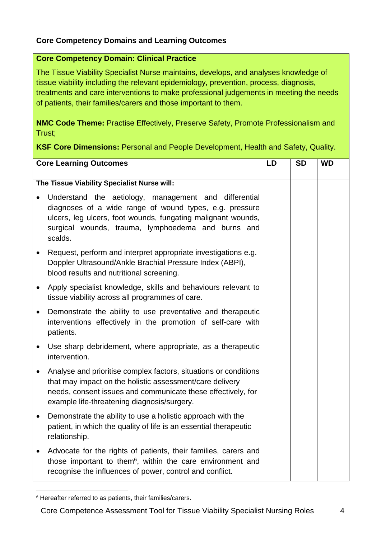#### **Core Competency Domains and Learning Outcomes**

#### **Core Competency Domain: Clinical Practice**

The Tissue Viability Specialist Nurse maintains, develops, and analyses knowledge of tissue viability including the relevant epidemiology, prevention, process, diagnosis, treatments and care interventions to make professional judgements in meeting the needs of patients, their families/carers and those important to them.

**NMC Code Theme:** Practise Effectively, Preserve Safety, Promote Professionalism and Trust;

**KSF Core Dimensions:** Personal and People Development, Health and Safety, Quality.

| <b>Core Learning Outcomes</b>               |                                                                                                                                                                                                                                                   | LD | <b>SD</b> | <b>WD</b> |
|---------------------------------------------|---------------------------------------------------------------------------------------------------------------------------------------------------------------------------------------------------------------------------------------------------|----|-----------|-----------|
| The Tissue Viability Specialist Nurse will: |                                                                                                                                                                                                                                                   |    |           |           |
| $\bullet$                                   | Understand the aetiology, management and differential<br>diagnoses of a wide range of wound types, e.g. pressure<br>ulcers, leg ulcers, foot wounds, fungating malignant wounds,<br>surgical wounds, trauma, lymphoedema and burns and<br>scalds. |    |           |           |
| $\bullet$                                   | Request, perform and interpret appropriate investigations e.g.<br>Doppler Ultrasound/Ankle Brachial Pressure Index (ABPI),<br>blood results and nutritional screening.                                                                            |    |           |           |
| $\bullet$                                   | Apply specialist knowledge, skills and behaviours relevant to<br>tissue viability across all programmes of care.                                                                                                                                  |    |           |           |
| $\bullet$                                   | Demonstrate the ability to use preventative and therapeutic<br>interventions effectively in the promotion of self-care with<br>patients.                                                                                                          |    |           |           |
| $\bullet$                                   | Use sharp debridement, where appropriate, as a therapeutic<br>intervention.                                                                                                                                                                       |    |           |           |
| $\bullet$                                   | Analyse and prioritise complex factors, situations or conditions<br>that may impact on the holistic assessment/care delivery<br>needs, consent issues and communicate these effectively, for<br>example life-threatening diagnosis/surgery.       |    |           |           |
| $\bullet$                                   | Demonstrate the ability to use a holistic approach with the<br>patient, in which the quality of life is an essential therapeutic<br>relationship.                                                                                                 |    |           |           |
| $\bullet$                                   | Advocate for the rights of patients, their families, carers and<br>those important to them <sup>6</sup> , within the care environment and<br>recognise the influences of power, control and conflict.                                             |    |           |           |

<sup>6</sup> Hereafter referred to as patients, their families/carers.

Core Competence Assessment Tool for Tissue Viability Specialist Nursing Roles 4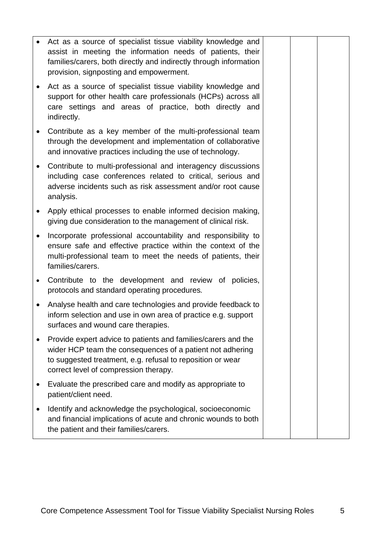|           | Act as a source of specialist tissue viability knowledge and<br>assist in meeting the information needs of patients, their<br>families/carers, both directly and indirectly through information<br>provision, signposting and empowerment. |  |  |
|-----------|--------------------------------------------------------------------------------------------------------------------------------------------------------------------------------------------------------------------------------------------|--|--|
|           | Act as a source of specialist tissue viability knowledge and<br>support for other health care professionals (HCPs) across all<br>care settings and areas of practice, both directly and<br>indirectly.                                     |  |  |
| $\bullet$ | Contribute as a key member of the multi-professional team<br>through the development and implementation of collaborative<br>and innovative practices including the use of technology.                                                      |  |  |
| $\bullet$ | Contribute to multi-professional and interagency discussions<br>including case conferences related to critical, serious and<br>adverse incidents such as risk assessment and/or root cause<br>analysis.                                    |  |  |
| $\bullet$ | Apply ethical processes to enable informed decision making,<br>giving due consideration to the management of clinical risk.                                                                                                                |  |  |
| $\bullet$ | Incorporate professional accountability and responsibility to<br>ensure safe and effective practice within the context of the<br>multi-professional team to meet the needs of patients, their<br>families/carers.                          |  |  |
| $\bullet$ | Contribute to the development and review of policies,<br>protocols and standard operating procedures.                                                                                                                                      |  |  |
| $\bullet$ | Analyse health and care technologies and provide feedback to<br>inform selection and use in own area of practice e.g. support<br>surfaces and wound care therapies.                                                                        |  |  |
|           | Provide expert advice to patients and families/carers and the<br>wider HCP team the consequences of a patient not adhering<br>to suggested treatment, e.g. refusal to reposition or wear<br>correct level of compression therapy.          |  |  |
|           | Evaluate the prescribed care and modify as appropriate to<br>patient/client need.                                                                                                                                                          |  |  |
| ٠         | Identify and acknowledge the psychological, socioeconomic<br>and financial implications of acute and chronic wounds to both<br>the patient and their families/carers.                                                                      |  |  |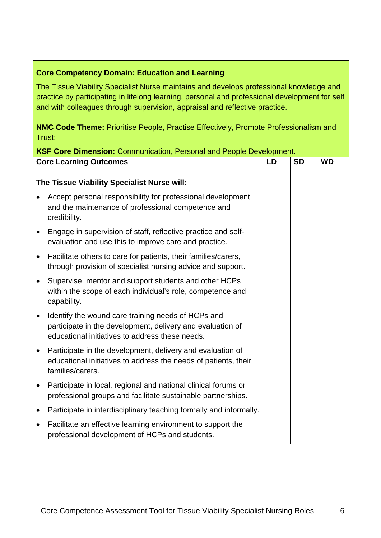#### **Core Competency Domain: Education and Learning**

The Tissue Viability Specialist Nurse maintains and develops professional knowledge and practice by participating in lifelong learning, personal and professional development for self and with colleagues through supervision, appraisal and reflective practice.

**NMC Code Theme:** Prioritise People, Practise Effectively, Promote Professionalism and Trust;

## **Core Learning Outcomes LD SD WD The Tissue Viability Specialist Nurse will:** Accept personal responsibility for professional development and the maintenance of professional competence and credibility. Engage in supervision of staff, reflective practice and selfevaluation and use this to improve care and practice. Facilitate others to care for patients, their families/carers, through provision of specialist nursing advice and support. • Supervise, mentor and support students and other HCPs within the scope of each individual's role, competence and capability. • Identify the wound care training needs of HCPs and participate in the development, delivery and evaluation of educational initiatives to address these needs. • Participate in the development, delivery and evaluation of educational initiatives to address the needs of patients, their families/carers. • Participate in local, regional and national clinical forums or professional groups and facilitate sustainable partnerships. Participate in interdisciplinary teaching formally and informally. Facilitate an effective learning environment to support the professional development of HCPs and students.

#### **KSF Core Dimension:** Communication, Personal and People Development.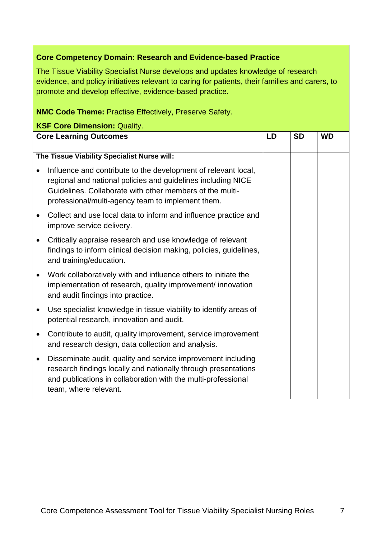#### **Core Competency Domain: Research and Evidence-based Practice**

The Tissue Viability Specialist Nurse develops and updates knowledge of research evidence, and policy initiatives relevant to caring for patients, their families and carers, to promote and develop effective, evidence-based practice.

#### **NMC Code Theme:** Practise Effectively, Preserve Safety.

| <b>KSF Core Dimension: Quality.</b>         |                                                                                                                                                                                                                                                 |    |           |           |
|---------------------------------------------|-------------------------------------------------------------------------------------------------------------------------------------------------------------------------------------------------------------------------------------------------|----|-----------|-----------|
| <b>Core Learning Outcomes</b>               |                                                                                                                                                                                                                                                 | LD | <b>SD</b> | <b>WD</b> |
|                                             |                                                                                                                                                                                                                                                 |    |           |           |
| The Tissue Viability Specialist Nurse will: |                                                                                                                                                                                                                                                 |    |           |           |
|                                             | Influence and contribute to the development of relevant local,<br>regional and national policies and guidelines including NICE<br>Guidelines. Collaborate with other members of the multi-<br>professional/multi-agency team to implement them. |    |           |           |
|                                             | Collect and use local data to inform and influence practice and<br>improve service delivery.                                                                                                                                                    |    |           |           |
| $\bullet$                                   | Critically appraise research and use knowledge of relevant<br>findings to inform clinical decision making, policies, guidelines,<br>and training/education.                                                                                     |    |           |           |
| $\bullet$                                   | Work collaboratively with and influence others to initiate the<br>implementation of research, quality improvement/ innovation<br>and audit findings into practice.                                                                              |    |           |           |
| $\bullet$                                   | Use specialist knowledge in tissue viability to identify areas of<br>potential research, innovation and audit.                                                                                                                                  |    |           |           |
| $\bullet$                                   | Contribute to audit, quality improvement, service improvement<br>and research design, data collection and analysis.                                                                                                                             |    |           |           |
| $\bullet$                                   | Disseminate audit, quality and service improvement including<br>research findings locally and nationally through presentations<br>and publications in collaboration with the multi-professional<br>team, where relevant.                        |    |           |           |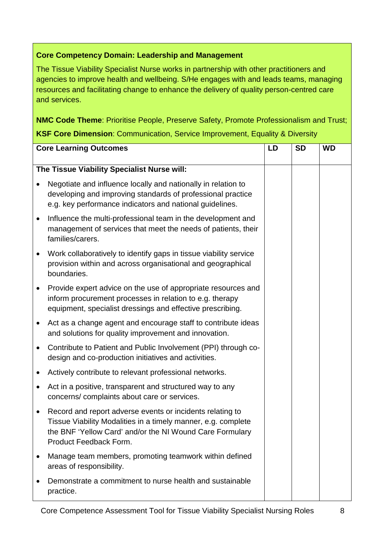#### **Core Competency Domain: Leadership and Management**

The Tissue Viability Specialist Nurse works in partnership with other practitioners and agencies to improve health and wellbeing. S/He engages with and leads teams, managing resources and facilitating change to enhance the delivery of quality person-centred care and services.

**NMC Code Theme**: Prioritise People, Preserve Safety, Promote Professionalism and Trust;

#### **KSF Core Dimension**: Communication, Service Improvement, Equality & Diversity

| <b>Core Learning Outcomes</b> |                                                                                                                                                                                                                  | LD | <b>SD</b> | <b>WD</b> |
|-------------------------------|------------------------------------------------------------------------------------------------------------------------------------------------------------------------------------------------------------------|----|-----------|-----------|
|                               | The Tissue Viability Specialist Nurse will:                                                                                                                                                                      |    |           |           |
|                               | Negotiate and influence locally and nationally in relation to<br>developing and improving standards of professional practice<br>e.g. key performance indicators and national guidelines.                         |    |           |           |
| $\bullet$                     | Influence the multi-professional team in the development and<br>management of services that meet the needs of patients, their<br>families/carers.                                                                |    |           |           |
|                               | Work collaboratively to identify gaps in tissue viability service<br>provision within and across organisational and geographical<br>boundaries.                                                                  |    |           |           |
| $\bullet$                     | Provide expert advice on the use of appropriate resources and<br>inform procurement processes in relation to e.g. therapy<br>equipment, specialist dressings and effective prescribing.                          |    |           |           |
| ٠                             | Act as a change agent and encourage staff to contribute ideas<br>and solutions for quality improvement and innovation.                                                                                           |    |           |           |
| ٠                             | Contribute to Patient and Public Involvement (PPI) through co-<br>design and co-production initiatives and activities.                                                                                           |    |           |           |
| ٠                             | Actively contribute to relevant professional networks.                                                                                                                                                           |    |           |           |
| ٠                             | Act in a positive, transparent and structured way to any<br>concerns/complaints about care or services.                                                                                                          |    |           |           |
|                               | Record and report adverse events or incidents relating to<br>Tissue Viability Modalities in a timely manner, e.g. complete<br>the BNF 'Yellow Card' and/or the NI Wound Care Formulary<br>Product Feedback Form. |    |           |           |
| ٠                             | Manage team members, promoting teamwork within defined<br>areas of responsibility.                                                                                                                               |    |           |           |
|                               | Demonstrate a commitment to nurse health and sustainable<br>practice.                                                                                                                                            |    |           |           |